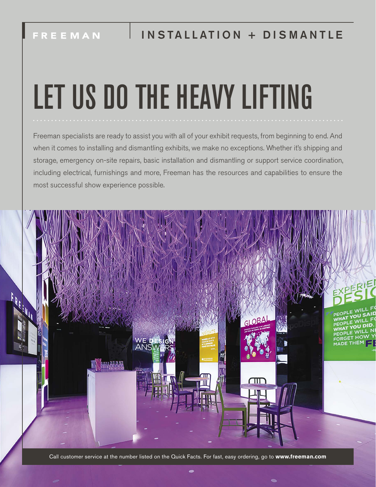# LET US DO THE HEAVY LIFTING

Freeman specialists are ready to assist you with all of your exhibit requests, from beginning to end. And when it comes to installing and dismantling exhibits, we make no exceptions. Whether it's shipping and storage, emergency on-site repairs, basic installation and dismantling or support service coordination, including electrical, furnishings and more, Freeman has the resources and capabilities to ensure the most successful show experience possible.

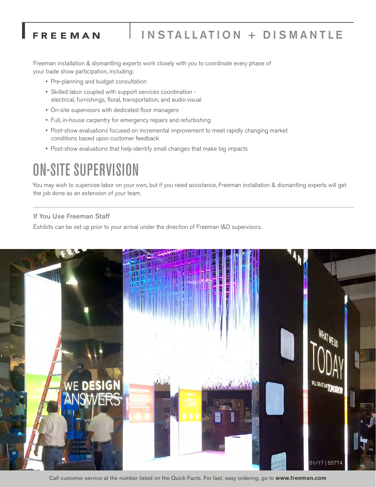## INSTALLATION + DISMANTLE

Freeman installation & dismantling experts work closely with you to coordinate every phase of your trade show participation, including:

• Pre-planning and budget consultation

FREEMAN

- Skilled labor coupled with support services coordination electrical, furnishings, floral, transportation, and audio visual
- On-site supervisors with dedicated floor managers
- Full, in-house carpentry for emergency repairs and refurbishing
- Post-show evaluations focused on incremental improvement to meet rapidly changing market conditions based upon customer feedback
- Post-show evaluations that help identify small changes that make big impacts

# ON-SITE SUPERVISION

You may wish to supervise labor on your own, but if you need assistance, Freeman installation & dismantling experts will get the job done as an extension of your team.

#### If You Use Freeman Staff

Exhibits can be set up prior to your arrival under the direction of Freeman I&D supervisors.



Call customer service at the number listed on the Quick Facts. For fast, easy ordering, go to **www.freeman.com**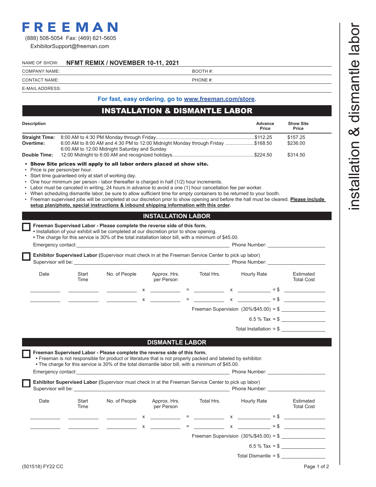# FREEMAN

(888) 508-5054 Fax: (469) 621-5605

ExhibitorSupport@freeman.com

#### NAME OF SHOW: **NFMT REMIX / NOVEMBER 10-11, 2021**

COMPANY NAME: BOOTH #:

| <b>CONTACT NAME:</b> | PHONE #: |
|----------------------|----------|
| E-MAIL ADDRESS:      |          |

Г

ľ

#### **For fast, easy ordering, go to www.freeman.com/store.**

#### INSTALLATION & DISMANTLE LABOR

| <b>Description</b>    |                                                                                                                                  | Advance<br>Price | <b>Show Site</b><br>Price |
|-----------------------|----------------------------------------------------------------------------------------------------------------------------------|------------------|---------------------------|
| <b>Straight Time:</b> |                                                                                                                                  |                  | \$157.25                  |
| Overtime:             | 6.00 AM to 8.00 AM and 4.30 PM to 12:00 Midnight Monday through Friday \$168.50<br>6:00 AM to 12:00 Midnight Saturday and Sunday |                  | \$236.00                  |
| Double Time:          |                                                                                                                                  |                  | \$314.50                  |

#### • Show Site prices will apply to all labor orders placed at show site.

- Price is per person/per hour.
- Start time guaranteed only at start of working day.
- One hour minimum per person labor thereafter is charged in half (1/2) hour increments.
- Labor must be canceled in writing, 24 hours in advance to avoid a one (1) hour cancellation fee per worker.
- When scheduling dismantle labor, be sure to allow sufficient time for empty containers to be returned to your booth.
- Freeman supervised jobs will be completed at our discretion prior to show opening and before the hall must be cleared. **Please include setup plan/photo, special instructions & inbound shipping information with this order.**

#### **INSTALLATION LABOR**

|  | $\blacksquare$ • Installation of your exhibit will be completed at our discretion prior to show opening. |  |
|--|----------------------------------------------------------------------------------------------------------|--|
|  |                                                                                                          |  |

| и производите на представат на представат на принципала на принципала на принципала на принципала на принципал |  |  |
|----------------------------------------------------------------------------------------------------------------|--|--|
| • The charge for this service is 30% of the total installation labor bill, with a minimum of \$45.00.          |  |  |

|      |               | $\bullet$ The charge for this service is 30% of the total installation labor bill, with a minimum of \$45.00.<br>Emergency contact: the control of the control of the control of the control of the control of the control of the control of the control of the control of the control of the control of the control of the control of the cont |   |                              |                                                                                                               | Phone Number: New York 1997                                                                                                                                                                                                                                                       |        |                                |
|------|---------------|-------------------------------------------------------------------------------------------------------------------------------------------------------------------------------------------------------------------------------------------------------------------------------------------------------------------------------------------------|---|------------------------------|---------------------------------------------------------------------------------------------------------------|-----------------------------------------------------------------------------------------------------------------------------------------------------------------------------------------------------------------------------------------------------------------------------------|--------|--------------------------------|
|      |               | <b>Exhibitor Supervised Labor (Supervisor must check in at the Freeman Service Center to pick up labor)</b>                                                                                                                                                                                                                                     |   |                              |                                                                                                               | Phone Number:                                                                                                                                                                                                                                                                     |        |                                |
| Date | Start<br>Time | No. of People                                                                                                                                                                                                                                                                                                                                   |   | Approx. Hrs.<br>per Person   | Total Hrs.                                                                                                    | Hourly Rate                                                                                                                                                                                                                                                                       |        | Estimated<br><b>Total Cost</b> |
|      |               |                                                                                                                                                                                                                                                                                                                                                 | x |                              | [1] 2010 - 10 000 million (1990) - 10 000 million (1990) - 10 000 million (1990) - 10 000 million (1990) - 10 | $\mathsf{X}$ and $\mathsf{X}$ and $\mathsf{X}$ are the set of $\mathsf{X}$ and $\mathsf{X}$ are the set of $\mathsf{X}$ and $\mathsf{X}$ are the set of $\mathsf{X}$ and $\mathsf{X}$ are the set of $\mathsf{X}$ and $\mathsf{X}$ are the set of $\mathsf{X}$ and $\mathsf{X}$ a | $=$ \$ |                                |
|      |               |                                                                                                                                                                                                                                                                                                                                                 | x | 100 - Carl Andrew March 2014 |                                                                                                               | $\times$                                                                                                                                                                                                                                                                          |        | $=$ \$                         |
|      |               |                                                                                                                                                                                                                                                                                                                                                 |   |                              |                                                                                                               | Freeman Supervision $(30\%/\$45.00) = $$                                                                                                                                                                                                                                          |        |                                |
|      |               |                                                                                                                                                                                                                                                                                                                                                 |   |                              |                                                                                                               |                                                                                                                                                                                                                                                                                   |        | 6.5 % Tax = $$$                |
|      |               |                                                                                                                                                                                                                                                                                                                                                 |   |                              |                                                                                                               | Total Installation = $$$                                                                                                                                                                                                                                                          |        |                                |

**DISMANTLE LABOR** 

| Emergency contact: |               | Freeman Supervised Labor - Please complete the reverse side of this form.<br>• Freeman is not responsible for product or literature that is not properly packed and labeled by exhibitor.<br>• The charge for this service is 30% of the total dismantle labor bill, with a minimum of \$45.00.<br><u> 1980 - Jan Barbara, martxa al II-lea (h. 1980).</u><br>1901 - Maria Barbara, frantziar musika eta biztanleria (h. 1902). |                            |            | Phone Number: Thomas Phone Number                                                                               |                                |
|--------------------|---------------|---------------------------------------------------------------------------------------------------------------------------------------------------------------------------------------------------------------------------------------------------------------------------------------------------------------------------------------------------------------------------------------------------------------------------------|----------------------------|------------|-----------------------------------------------------------------------------------------------------------------|--------------------------------|
|                    |               | <b>Exhibitor Supervised Labor (Supervisor must check in at the Freeman Service Center to pick up labor)</b>                                                                                                                                                                                                                                                                                                                     |                            |            | Phone Number: Thomas School School School School School School School School School School School School School |                                |
| Date               | Start<br>Time | No. of People                                                                                                                                                                                                                                                                                                                                                                                                                   | Approx. Hrs.<br>per Person | Total Hrs. | Hourly Rate                                                                                                     | Estimated<br><b>Total Cost</b> |
|                    |               |                                                                                                                                                                                                                                                                                                                                                                                                                                 |                            |            | $x = x$ $\qquad = \text{S}$                                                                                     |                                |
|                    |               |                                                                                                                                                                                                                                                                                                                                                                                                                                 |                            | $x =$      | $\mathsf{X}$ and $\mathsf{X}$ and $\mathsf{X}$ are the set of $\mathsf{X}$                                      | $=$ \$                         |
|                    |               |                                                                                                                                                                                                                                                                                                                                                                                                                                 |                            |            | Freeman Supervision $(30\%/\$45.00) = \$$                                                                       |                                |
|                    |               |                                                                                                                                                                                                                                                                                                                                                                                                                                 |                            |            |                                                                                                                 | 6.5 % Tax = $$$                |
|                    |               |                                                                                                                                                                                                                                                                                                                                                                                                                                 |                            |            | Total Dismantle = $$$                                                                                           |                                |